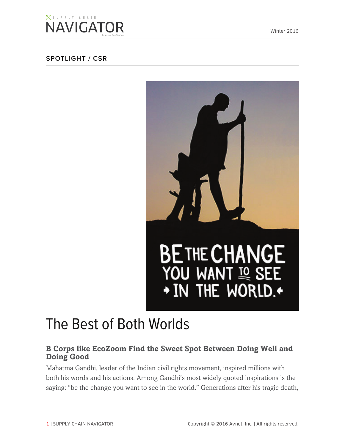### $\boxtimes$  supply chain **NAVIGATOR**

#### **SPOTLIGHT / CSR**



# The Best of Both Worlds

#### **B Corps like EcoZoom Find the Sweet Spot Between Doing Well and Doing Good**

Mahatma Gandhi, leader of the Indian civil rights movement, inspired millions with both his words and his actions. Among Gandhi's most widely quoted inspirations is the saying: "be the change you want to see in the world." Generations after his tragic death,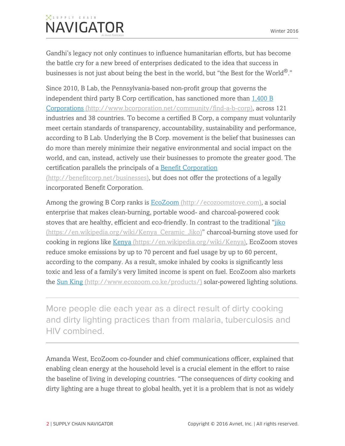## $\boxtimes$  supply chain **NAVIGATOR**

Gandhi's legacy not only continues to influence humanitarian efforts, but has become the battle cry for a new breed of enterprises dedicated to the idea that success in businesses is not just about being the best in the world, but "the Best for the World $^{\circledR}.$ "

Since 2010, B Lab, the Pennsylvania-based non-profit group that governs the independent third party B Corp certification, has sanctioned more than 1,400 B Corporations (http://www.bcorporation.net/community/find-a-b-corp), across 121 industries and 38 countries. To become a certified B Corp, a company must voluntarily meet certain standards of transparency, accountability, sustainability and performance, according to B Lab. Underlying the B Corp. movement is the belief that businesses can do more than merely minimize their negative environmental and social impact on the world, and can, instead, actively use their businesses to promote the greater good. The certification parallels the principals of a Benefit Corporation (http://benefitcorp.net/businesses), but does not offer the protections of a legally

incorporated Benefit Corporation.

Among the growing B Corp ranks is **EcoZoom** (http://ecozoomstove.com), a social enterprise that makes clean-burning, portable wood- and charcoal-powered cook stoves that are healthy, efficient and eco-friendly. In contrast to the traditional "jiko (https://en.wikipedia.org/wiki/Kenya\_Ceramic\_Jiko)" charcoal-burning stove used for cooking in regions like Kenya (https://en.wikipedia.org/wiki/Kenya), EcoZoom stoves reduce smoke emissions by up to 70 percent and fuel usage by up to 60 percent, according to the company. As a result, smoke inhaled by cooks is significantly less toxic and less of a family's very limited income is spent on fuel. EcoZoom also markets the Sun King (http://www.ecozoom.co.ke/products/) solar-powered lighting solutions.

More people die each year as a direct result of dirty cooking and dirty lighting practices than from malaria, tuberculosis and HIV combined.

Amanda West, EcoZoom co-founder and chief communications officer, explained that enabling clean energy at the household level is a crucial element in the effort to raise the baseline of living in developing countries. "The consequences of dirty cooking and dirty lighting are a huge threat to global health, yet it is a problem that is not as widely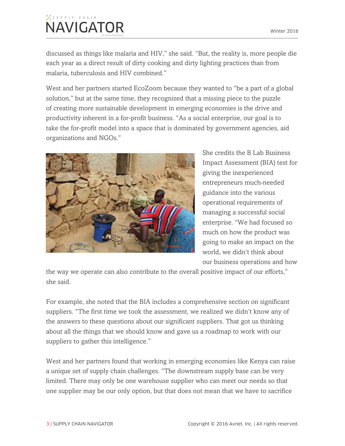## $\boxtimes$  supply chain **NAVIGATOR**

discussed as things like malaria and HIV," she said. "But, the reality is, more people die each year as a direct result of dirty cooking and dirty lighting practices than from malaria, tuberculosis and HIV combined."

West and her partners started EcoZoom because they wanted to "be a part of a global solution," but at the same time, they recognized that a missing piece to the puzzle of creating more sustainable development in emerging economies is the drive and productivity inherent in a for-profit business. "As a social enterprise, our goal is to take the for-profit model into a space that is dominated by government agencies, aid organizations and NGOs."



She credits the B Lab Business Impact Assessment (BIA) test for giving the inexperienced entrepreneurs much-needed guidance into the various operational requirements of managing a successful social enterprise. "We had focused so much on how the product was going to make an impact on the world, we didn't think about our business operations and how

the way we operate can also contribute to the overall positive impact of our efforts," she said.

For example, she noted that the BIA includes a comprehensive section on significant suppliers. "The first time we took the assessment, we realized we didn't know any of the answers to these questions about our significant suppliers. That got us thinking about all the things that we should know and gave us a roadmap to work with our suppliers to gather this intelligence."

West and her partners found that working in emerging economies like Kenya can raise a unique set of supply chain challenges. "The downstream supply base can be very limited. There may only be one warehouse supplier who can meet our needs so that one supplier may be our only option, but that does not mean that we have to sacrifice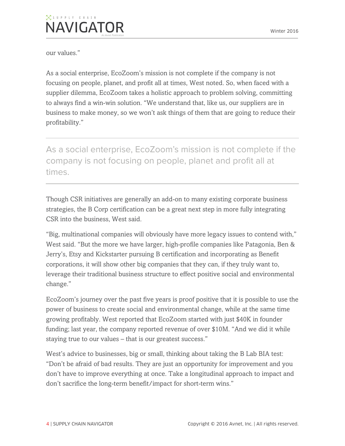our values."

As a social enterprise, EcoZoom's mission is not complete if the company is not focusing on people, planet, and profit all at times, West noted. So, when faced with a supplier dilemma, EcoZoom takes a holistic approach to problem solving, committing to always find a win-win solution. "We understand that, like us, our suppliers are in business to make money, so we won't ask things of them that are going to reduce their profitability."

As a social enterprise, EcoZoom's mission is not complete if the company is not focusing on people, planet and profit all at times.

Though CSR initiatives are generally an add-on to many existing corporate business strategies, the B Corp certification can be a great next step in more fully integrating CSR into the business, West said.

"Big, multinational companies will obviously have more legacy issues to contend with," West said. "But the more we have larger, high-profile companies like Patagonia, Ben & Jerry's, Etsy and Kickstarter pursuing B certification and incorporating as Benefit corporations, it will show other big companies that they can, if they truly want to, leverage their traditional business structure to effect positive social and environmental change."

EcoZoom's journey over the past five years is proof positive that it is possible to use the power of business to create social and environmental change, while at the same time growing profitably. West reported that EcoZoom started with just \$40K in founder funding; last year, the company reported revenue of over \$10M. "And we did it while staying true to our values – that is our greatest success."

West's advice to businesses, big or small, thinking about taking the B Lab BIA test: "Don't be afraid of bad results. They are just an opportunity for improvement and you don't have to improve everything at once. Take a longitudinal approach to impact and don't sacrifice the long-term benefit/impact for short-term wins."